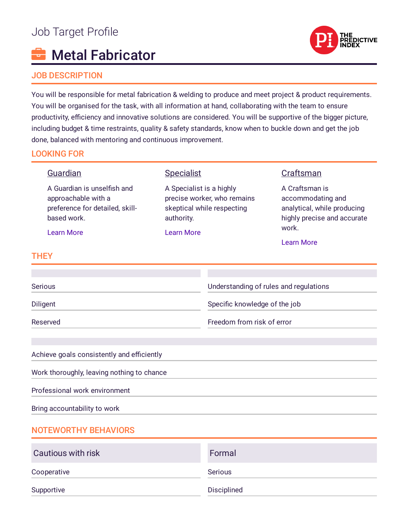# Job Target Profile

# Metal Fabricator

## JOB DESCRIPTION

You will be responsible for metal fabrication & welding to produce and meet project & product requirements. You will be organised for the task, with all information at hand, collaborating with the team to ensure productivity, efficiency and innovative solutions are considered. You will be supportive of the bigger picture, including budget & time restraints, quality & safety standards, know when to buckle down and get the job done, balanced with mentoring and continuous improvement.

# LOOKING FOR

#### Guardian A Guardian is unselfish and approachable with a preference for detailed, skillbased work. [Learn](https://www.predictiveindex.com/reference-profile/Guardian) More **Specialist** A Specialist is a highly precise worker, who remains skeptical while respecting authority. [Learn](https://www.predictiveindex.com/reference-profile/Specialist) More Craftsman A Craftsman is accommodating and analytical, while producing highly precise and accurate work. [Learn](https://www.predictiveindex.com/reference-profile/Craftsman) More **THEY** Serious Diligent Reserved Understanding of rules and regulations Specific knowledge of the job Freedom from risk of error Achieve goals consistently and efficiently Work thoroughly, leaving nothing to chance Professional work environment Bring accountability to work NOTEWORTHY BEHAVIORS Cautious with risk Formal

| Supportive                | Disciplined    |
|---------------------------|----------------|
| Cooperative               | <b>Serious</b> |
| <b>Cautious with risk</b> | Formal         |

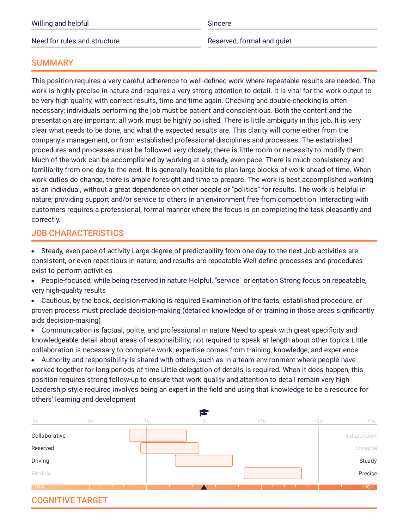| Willing and helpful          | Sincere                    |
|------------------------------|----------------------------|
| Need for rules and structure | Reserved, formal and quiet |

### **SUMMARY**

This position requires a very careful adherence to well-defined work where repeatable results are needed. The work is highly precise in nature and requires a very strong attention to detail. It is vital for the work output to be very high quality, with correct results, time and time again. Checking and double-checking is often necessary; individuals performing the job must be patient and conscientious. Both the content and the presentation are important; all work must be highly polished. There is little ambiguity in this job. It is very clear what needs to be done, and what the expected results are. This clarity will come either from the company's management, or from established professional disciplines and processes. The established procedures and processes must be followed very closely; there is little room or necessity to modify them. Much of the work can be accomplished by working at a steady, even pace. There is much consistency and familiarity from one day to the next. It is generally feasible to plan large blocks of work ahead of time. When work duties do change, there is ample foresight and time to prepare. The work is best accomplished working as an individual, without a great dependence on other people or "politics" for results. The work is helpful in nature; providing support and/or service to others in an environment free from competition. Interacting with customers requires a professional, formal manner where the focus is on completing the task pleasantly and correctly.

# JOB CHARACTERISTICS

- Steady, even pace of activity Large degree of predictability from one day to the next Job activities are consistent, or even repetitious in nature, and results are repeatable Well-define processes and procedures exist to perform activities
- $\bullet$ People-focused, while being reserved in nature Helpful, "service" orientation Strong focus on repeatable, very high-quality results
- Cautious, by the book, decision-making is required Examination of the facts, established procedure, or proven process must preclude decision-making (detailed knowledge of or training in those areas signicantly aids decision-making)
- Communication is factual, polite, and professional in nature Need to speak with great specificity and knowledgeable detail about areas of responsibility; not required to speak at length about other topics Little collaboration is necessary to complete work; expertise comes from training, knowledge, and experience
- Authority and responsibility is shared with others, such as in a team environment where people have worked together for long periods of time Little delegation of details is required. When it does happen, this position requires strong follow-up to ensure that work quality and attention to detail remain very high Leadership style required involves being an expert in the field and using that knowledge to be a resource for others' learning and development